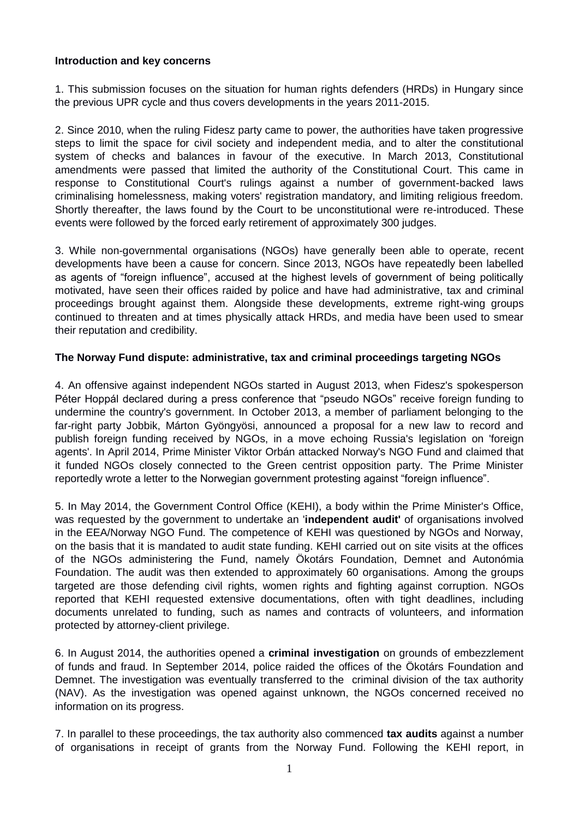### **Introduction and key concerns**

1. This submission focuses on the situation for human rights defenders (HRDs) in Hungary since the previous UPR cycle and thus covers developments in the years 2011-2015.

2. Since 2010, when the ruling Fidesz party came to power, the authorities have taken progressive steps to limit the space for civil society and independent media, and to alter the constitutional system of checks and balances in favour of the executive. In March 2013, Constitutional amendments were passed that limited the authority of the Constitutional Court. This came in response to Constitutional Court's rulings against a number of government-backed laws criminalising homelessness, making voters' registration mandatory, and limiting religious freedom. Shortly thereafter, the laws found by the Court to be unconstitutional were re-introduced. These events were followed by the forced early retirement of approximately 300 judges.

3. While non-governmental organisations (NGOs) have generally been able to operate, recent developments have been a cause for concern. Since 2013, NGOs have repeatedly been labelled as agents of "foreign influence", accused at the highest levels of government of being politically motivated, have seen their offices raided by police and have had administrative, tax and criminal proceedings brought against them. Alongside these developments, extreme right-wing groups continued to threaten and at times physically attack HRDs, and media have been used to smear their reputation and credibility.

### **The Norway Fund dispute: administrative, tax and criminal proceedings targeting NGOs**

4. An offensive against independent NGOs started in August 2013, when Fidesz's spokesperson Péter Hoppál declared during a press conference that "pseudo NGOs" receive foreign funding to undermine the country's government. In October 2013, a member of parliament belonging to the far-right party Jobbik, Márton Gyöngyösi, announced a proposal for a new law to record and publish foreign funding received by NGOs, in a move echoing Russia's legislation on 'foreign agents'. In April 2014, Prime Minister Viktor Orbán attacked Norway's NGO Fund and claimed that it funded NGOs closely connected to the Green centrist opposition party. The Prime Minister reportedly wrote a letter to the Norwegian government protesting against "foreign influence".

5. In May 2014, the Government Control Office (KEHI), a body within the Prime Minister's Office, was requested by the government to undertake an '**independent audit'** of organisations involved in the EEA/Norway NGO Fund. The competence of KEHI was questioned by NGOs and Norway, on the basis that it is mandated to audit state funding. KEHI carried out on site visits at the offices of the NGOs administering the Fund, namely Ökotárs Foundation, Demnet and Autonómia Foundation. The audit was then extended to approximately 60 organisations. Among the groups targeted are those defending civil rights, women rights and fighting against corruption. NGOs reported that KEHI requested extensive documentations, often with tight deadlines, including documents unrelated to funding, such as names and contracts of volunteers, and information protected by attorney-client privilege.

6. In August 2014, the authorities opened a **criminal investigation** on grounds of embezzlement of funds and fraud. In September 2014, police raided the offices of the Ökotárs Foundation and Demnet. The investigation was eventually transferred to the criminal division of the tax authority (NAV). As the investigation was opened against unknown, the NGOs concerned received no information on its progress.

7. In parallel to these proceedings, the tax authority also commenced **tax audits** against a number of organisations in receipt of grants from the Norway Fund. Following the KEHI report, in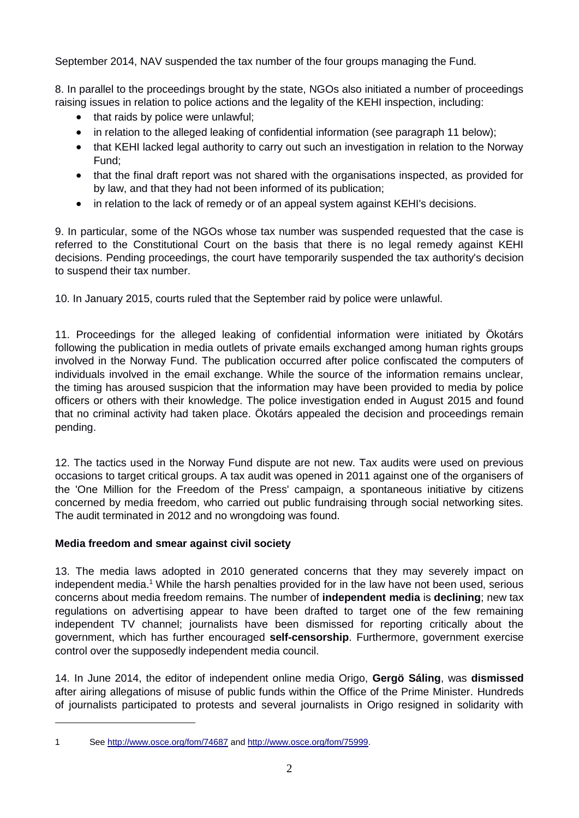September 2014, NAV suspended the tax number of the four groups managing the Fund.

8. In parallel to the proceedings brought by the state, NGOs also initiated a number of proceedings raising issues in relation to police actions and the legality of the KEHI inspection, including:

- that raids by police were unlawful;
- in relation to the alleged leaking of confidential information (see paragraph 11 below);
- that KEHI lacked legal authority to carry out such an investigation in relation to the Norway Fund;
- that the final draft report was not shared with the organisations inspected, as provided for by law, and that they had not been informed of its publication;
- in relation to the lack of remedy or of an appeal system against KEHI's decisions.

9. In particular, some of the NGOs whose tax number was suspended requested that the case is referred to the Constitutional Court on the basis that there is no legal remedy against KEHI decisions. Pending proceedings, the court have temporarily suspended the tax authority's decision to suspend their tax number.

10. In January 2015, courts ruled that the September raid by police were unlawful.

11. Proceedings for the alleged leaking of confidential information were initiated by Ökotárs following the publication in media outlets of private emails exchanged among human rights groups involved in the Norway Fund. The publication occurred after police confiscated the computers of individuals involved in the email exchange. While the source of the information remains unclear, the timing has aroused suspicion that the information may have been provided to media by police officers or others with their knowledge. The police investigation ended in August 2015 and found that no criminal activity had taken place. Ökotárs appealed the decision and proceedings remain pending.

12. The tactics used in the Norway Fund dispute are not new. Tax audits were used on previous occasions to target critical groups. A tax audit was opened in 2011 against one of the organisers of the 'One Million for the Freedom of the Press' campaign, a spontaneous initiative by citizens concerned by media freedom, who carried out public fundraising through social networking sites. The audit terminated in 2012 and no wrongdoing was found.

# **Media freedom and smear against civil society**

1

13. The media laws adopted in 2010 generated concerns that they may severely impact on independent media.<sup>1</sup> While the harsh penalties provided for in the law have not been used, serious concerns about media freedom remains. The number of **independent media** is **declining**; new tax regulations on advertising appear to have been drafted to target one of the few remaining independent TV channel; journalists have been dismissed for reporting critically about the government, which has further encouraged **self-censorship**. Furthermore, government exercise control over the supposedly independent media council.

14. In June 2014, the editor of independent online media Origo, **Gergö Sáling**, was **dismissed** after airing allegations of misuse of public funds within the Office of the Prime Minister. Hundreds of journalists participated to protests and several journalists in Origo resigned in solidarity with

<sup>1</sup> Se[e http://www.osce.org/fom/74687](http://www.osce.org/fom/74687) an[d http://www.osce.org/fom/75999.](http://www.osce.org/fom/75999)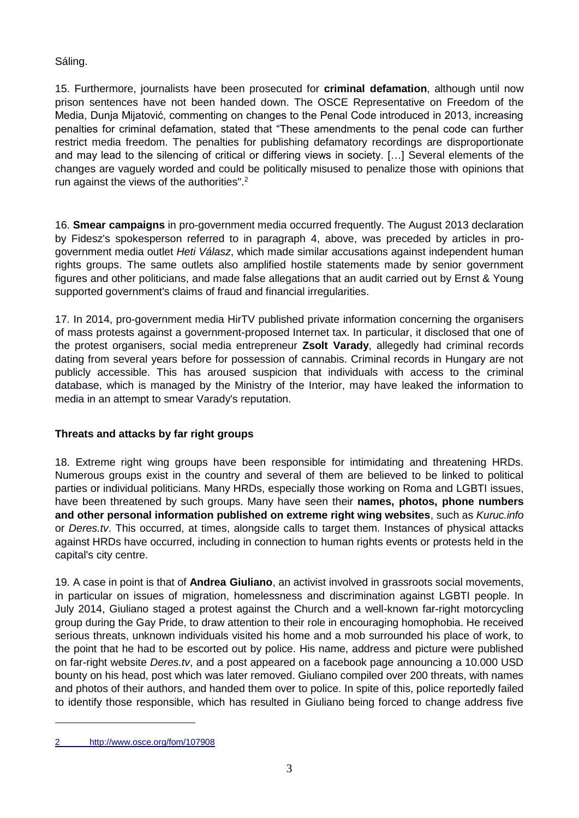Sáling.

15. Furthermore, journalists have been prosecuted for **criminal defamation**, although until now prison sentences have not been handed down. The OSCE Representative on Freedom of the Media, Dunja Mijatović, commenting on changes to the Penal Code introduced in 2013, increasing penalties for criminal defamation, stated that "These amendments to the penal code can further restrict media freedom. The penalties for publishing defamatory recordings are disproportionate and may lead to the silencing of critical or differing views in society. […] Several elements of the changes are vaguely worded and could be politically misused to penalize those with opinions that run against the views of the authorities".<sup>2</sup>

16. **Smear campaigns** in pro-government media occurred frequently. The August 2013 declaration by Fidesz's spokesperson referred to in paragraph 4, above, was preceded by articles in progovernment media outlet *Heti Válasz*, which made similar accusations against independent human rights groups. The same outlets also amplified hostile statements made by senior government figures and other politicians, and made false allegations that an audit carried out by Ernst & Young supported government's claims of fraud and financial irregularities.

17. In 2014, pro-government media HirTV published private information concerning the organisers of mass protests against a government-proposed Internet tax. In particular, it disclosed that one of the protest organisers, social media entrepreneur **Zsolt Varady**, allegedly had criminal records dating from several years before for possession of cannabis. Criminal records in Hungary are not publicly accessible. This has aroused suspicion that individuals with access to the criminal database, which is managed by the Ministry of the Interior, may have leaked the information to media in an attempt to smear Varady's reputation.

# **Threats and attacks by far right groups**

18. Extreme right wing groups have been responsible for intimidating and threatening HRDs. Numerous groups exist in the country and several of them are believed to be linked to political parties or individual politicians. Many HRDs, especially those working on Roma and LGBTI issues, have been threatened by such groups. Many have seen their **names, photos, phone numbers and other personal information published on extreme right wing websites**, such as *Kuruc.info* or *Deres.tv*. This occurred, at times, alongside calls to target them. Instances of physical attacks against HRDs have occurred, including in connection to human rights events or protests held in the capital's city centre.

19. A case in point is that of **Andrea Giuliano**, an activist involved in grassroots social movements, in particular on issues of migration, homelessness and discrimination against LGBTI people. In July 2014, Giuliano staged a protest against the Church and a well-known far-right motorcycling group during the Gay Pride, to draw attention to their role in encouraging homophobia. He received serious threats, unknown individuals visited his home and a mob surrounded his place of work, to the point that he had to be escorted out by police. His name, address and picture were published on far-right website *Deres.tv*, and a post appeared on a facebook page announcing a 10.000 USD bounty on his head, post which was later removed. Giuliano compiled over 200 threats, with names and photos of their authors, and handed them over to police. In spite of this, police reportedly failed to identify those responsible, which has resulted in Giuliano being forced to change address five

1

<sup>2</sup> <http://www.osce.org/fom/107908>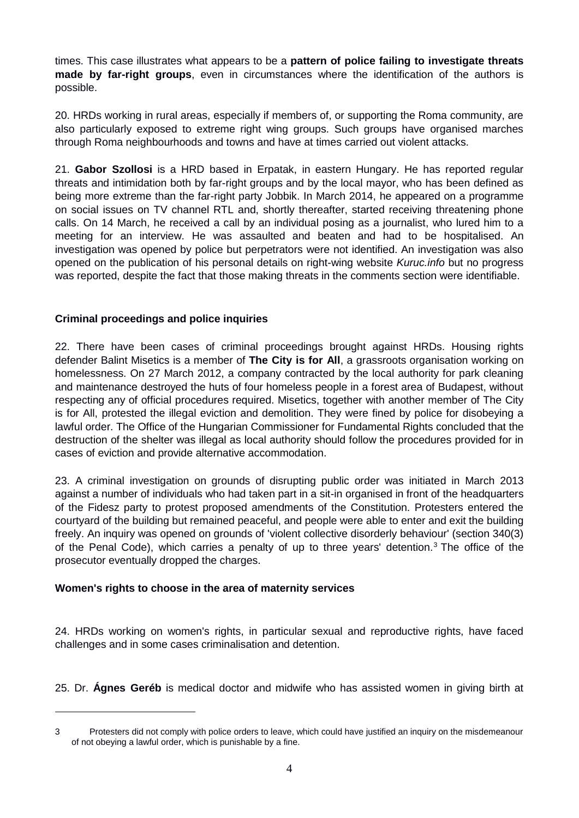times. This case illustrates what appears to be a **pattern of police failing to investigate threats made by far-right groups**, even in circumstances where the identification of the authors is possible.

20. HRDs working in rural areas, especially if members of, or supporting the Roma community, are also particularly exposed to extreme right wing groups. Such groups have organised marches through Roma neighbourhoods and towns and have at times carried out violent attacks.

21. **Gabor Szollosi** is a HRD based in Erpatak, in eastern Hungary. He has reported regular threats and intimidation both by far-right groups and by the local mayor, who has been defined as being more extreme than the far-right party Jobbik. In March 2014, he appeared on a programme on social issues on TV channel RTL and, shortly thereafter, started receiving threatening phone calls. On 14 March, he received a call by an individual posing as a journalist, who lured him to a meeting for an interview. He was assaulted and beaten and had to be hospitalised. An investigation was opened by police but perpetrators were not identified. An investigation was also opened on the publication of his personal details on right-wing website *Kuruc.info* but no progress was reported, despite the fact that those making threats in the comments section were identifiable.

## **Criminal proceedings and police inquiries**

22. There have been cases of criminal proceedings brought against HRDs. Housing rights defender Balint Misetics is a member of **The City is for All**, a grassroots organisation working on homelessness. On 27 March 2012, a company contracted by the local authority for park cleaning and maintenance destroyed the huts of four homeless people in a forest area of Budapest, without respecting any of official procedures required. Misetics, together with another member of The City is for All, protested the illegal eviction and demolition. They were fined by police for disobeying a lawful order. The Office of the Hungarian Commissioner for Fundamental Rights concluded that the destruction of the shelter was illegal as local authority should follow the procedures provided for in cases of eviction and provide alternative accommodation.

23. A criminal investigation on grounds of disrupting public order was initiated in March 2013 against a number of individuals who had taken part in a sit-in organised in front of the headquarters of the Fidesz party to protest proposed amendments of the Constitution. Protesters entered the courtyard of the building but remained peaceful, and people were able to enter and exit the building freely. An inquiry was opened on grounds of 'violent collective disorderly behaviour' (section 340(3) of the Penal Code), which carries a penalty of up to three years' detention.<sup>3</sup> The office of the prosecutor eventually dropped the charges.

### **Women's rights to choose in the area of maternity services**

1

24. HRDs working on women's rights, in particular sexual and reproductive rights, have faced challenges and in some cases criminalisation and detention.

25. Dr. **Ágnes Geréb** is medical doctor and midwife who has assisted women in giving birth at

<sup>3</sup> Protesters did not comply with police orders to leave, which could have justified an inquiry on the misdemeanour of not obeying a lawful order, which is punishable by a fine.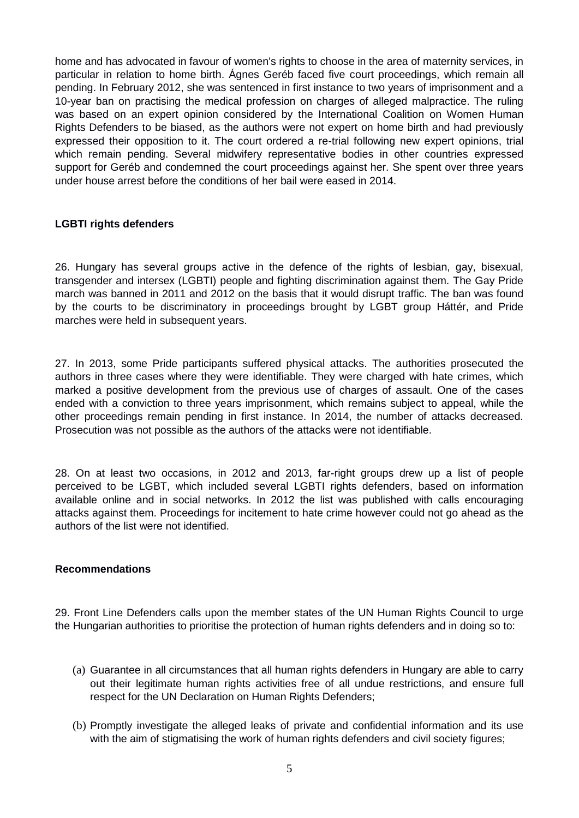home and has advocated in favour of women's rights to choose in the area of maternity services, in particular in relation to home birth. Ágnes Geréb faced five court proceedings, which remain all pending. In February 2012, she was sentenced in first instance to two years of imprisonment and a 10-year ban on practising the medical profession on charges of alleged malpractice. The ruling was based on an expert opinion considered by the International Coalition on Women Human Rights Defenders to be biased, as the authors were not expert on home birth and had previously expressed their opposition to it. The court ordered a re-trial following new expert opinions, trial which remain pending. Several midwifery representative bodies in other countries expressed support for Geréb and condemned the court proceedings against her. She spent over three years under house arrest before the conditions of her bail were eased in 2014.

### **LGBTI rights defenders**

26. Hungary has several groups active in the defence of the rights of lesbian, gay, bisexual, transgender and intersex (LGBTI) people and fighting discrimination against them. The Gay Pride march was banned in 2011 and 2012 on the basis that it would disrupt traffic. The ban was found by the courts to be discriminatory in proceedings brought by LGBT group Háttér, and Pride marches were held in subsequent years.

27. In 2013, some Pride participants suffered physical attacks. The authorities prosecuted the authors in three cases where they were identifiable. They were charged with hate crimes, which marked a positive development from the previous use of charges of assault. One of the cases ended with a conviction to three years imprisonment, which remains subject to appeal, while the other proceedings remain pending in first instance. In 2014, the number of attacks decreased. Prosecution was not possible as the authors of the attacks were not identifiable.

28. On at least two occasions, in 2012 and 2013, far-right groups drew up a list of people perceived to be LGBT, which included several LGBTI rights defenders, based on information available online and in social networks. In 2012 the list was published with calls encouraging attacks against them. Proceedings for incitement to hate crime however could not go ahead as the authors of the list were not identified.

### **Recommendations**

29. Front Line Defenders calls upon the member states of the UN Human Rights Council to urge the Hungarian authorities to prioritise the protection of human rights defenders and in doing so to:

- (a) Guarantee in all circumstances that all human rights defenders in Hungary are able to carry out their legitimate human rights activities free of all undue restrictions, and ensure full respect for the UN Declaration on Human Rights Defenders;
- (b) Promptly investigate the alleged leaks of private and confidential information and its use with the aim of stigmatising the work of human rights defenders and civil society figures;